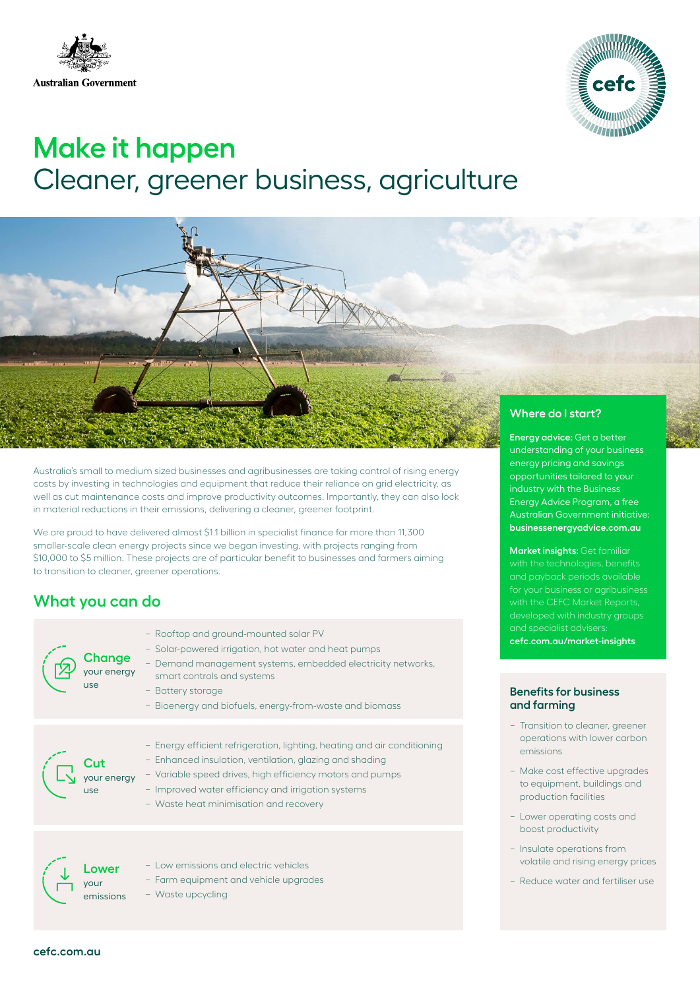



# **Make it happen** Cleaner, greener business, agriculture



Australia's small to medium sized businesses and agribusinesses are taking control of rising energy costs by investing in technologies and equipment that reduce their reliance on grid electricity, as well as cut maintenance costs and improve productivity outcomes. Importantly, they can also lock in material reductions in their emissions, delivering a cleaner, greener footprint.

We are proud to have delivered almost \$1.1 billion in specialist finance for more than 11,300 smaller-scale clean energy projects since we began investing, with projects ranging from \$10,000 to \$5 million. These projects are of particular benefit to businesses and farmers aiming to transition to cleaner, greener operations.

## **What you can do**

| Change<br>your energy<br>use | - Rooftop and ground-mounted solar PV<br>- Solar-powered irrigation, hot water and heat pumps<br>- Demand management systems, embedded electricity networks,<br>smart controls and systems<br>- Battery storage<br>- Bioenergy and biofuels, energy-from-waste and biomass                       |
|------------------------------|--------------------------------------------------------------------------------------------------------------------------------------------------------------------------------------------------------------------------------------------------------------------------------------------------|
| your energy<br>use           | - Energy efficient refrigeration, lighting, heating and air conditioning<br>- Enhanced insulation, ventilation, glazing and shading<br>- Variable speed drives, high efficiency motors and pumps<br>- Improved water efficiency and irrigation systems<br>- Waste heat minimisation and recovery |
| ower<br>vour<br>emissions    | - I ow emissions and electric vehicles<br>- Farm equipment and vehicle upgrades<br>- Waste upcycling                                                                                                                                                                                             |

understanding of your business energy pricing and savings opportunities tailored to your industry with the Business Energy Advice Program, a free Australian Government initiative: **[businessenergyadvice.com.au](https://businessenergyadvice.com.au/)**

**Market insights:** Get familiar with the technologies, benefits with the CEFC Market Reports, **[cefc.com.au/market-insights](http://cefc.com.au/market-insights)**

#### **Benefits for business and farming**

- − Transition to cleaner, greener operations with lower carbon emissions
- − Make cost effective upgrades to equipment, buildings and production facilities
- − Lower operating costs and boost productivity
- − Insulate operations from volatile and rising energy prices
- − Reduce water and fertiliser use